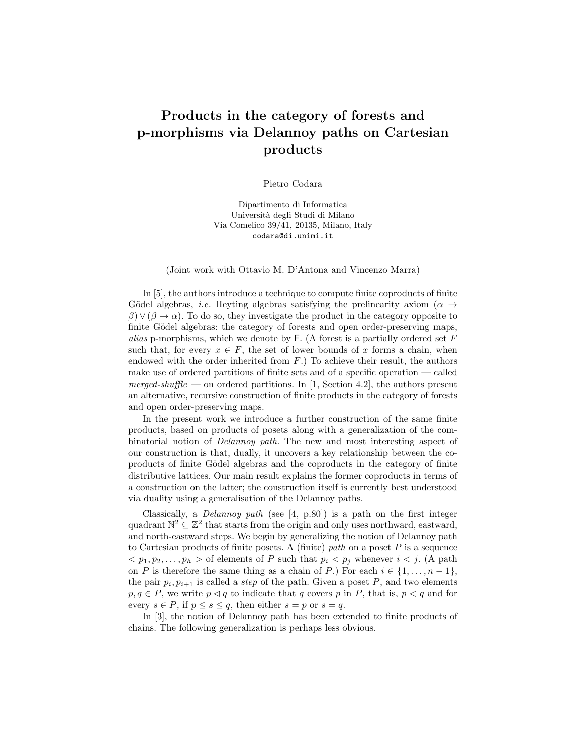## Products in the category of forests and p-morphisms via Delannoy paths on Cartesian products

Pietro Codara

Dipartimento di Informatica Universit`a degli Studi di Milano Via Comelico 39/41, 20135, Milano, Italy codara@di.unimi.it

(Joint work with Ottavio M. D'Antona and Vincenzo Marra)

In [5], the authors introduce a technique to compute finite coproducts of finite Gödel algebras, *i.e.* Heyting algebras satisfying the prelinearity axiom ( $\alpha \rightarrow$  $\beta$ )  $\vee$  ( $\beta \rightarrow \alpha$ ). To do so, they investigate the product in the category opposite to finite Gödel algebras: the category of forests and open order-preserving maps, alias p-morphisms, which we denote by  $\mathsf{F}$ . (A forest is a partially ordered set F such that, for every  $x \in F$ , the set of lower bounds of x forms a chain, when endowed with the order inherited from  $F$ .) To achieve their result, the authors make use of ordered partitions of finite sets and of a specific operation — called merged-shuffle — on ordered partitions. In [1, Section 4.2], the authors present an alternative, recursive construction of finite products in the category of forests and open order-preserving maps.

In the present work we introduce a further construction of the same finite products, based on products of posets along with a generalization of the combinatorial notion of Delannoy path. The new and most interesting aspect of our construction is that, dually, it uncovers a key relationship between the coproducts of finite Gödel algebras and the coproducts in the category of finite distributive lattices. Our main result explains the former coproducts in terms of a construction on the latter; the construction itself is currently best understood via duality using a generalisation of the Delannoy paths.

Classically, a Delannoy path (see [4, p.80]) is a path on the first integer quadrant  $\mathbb{N}^2 \subseteq \mathbb{Z}^2$  that starts from the origin and only uses northward, eastward, and north-eastward steps. We begin by generalizing the notion of Delannoy path to Cartesian products of finite posets. A (finite) path on a poset  $P$  is a sequence  $1, p_2, \ldots, p_h>$  of elements of P such that  $p_i < p_j$  whenever  $i < j$ . (A path on P is therefore the same thing as a chain of P.) For each  $i \in \{1, \ldots, n-1\}$ , the pair  $p_i, p_{i+1}$  is called a *step* of the path. Given a poset P, and two elements  $p, q \in P$ , we write  $p \lhd q$  to indicate that q covers p in P, that is,  $p < q$  and for every  $s \in P$ , if  $p \leq s \leq q$ , then either  $s = p$  or  $s = q$ .

In [3], the notion of Delannoy path has been extended to finite products of chains. The following generalization is perhaps less obvious.